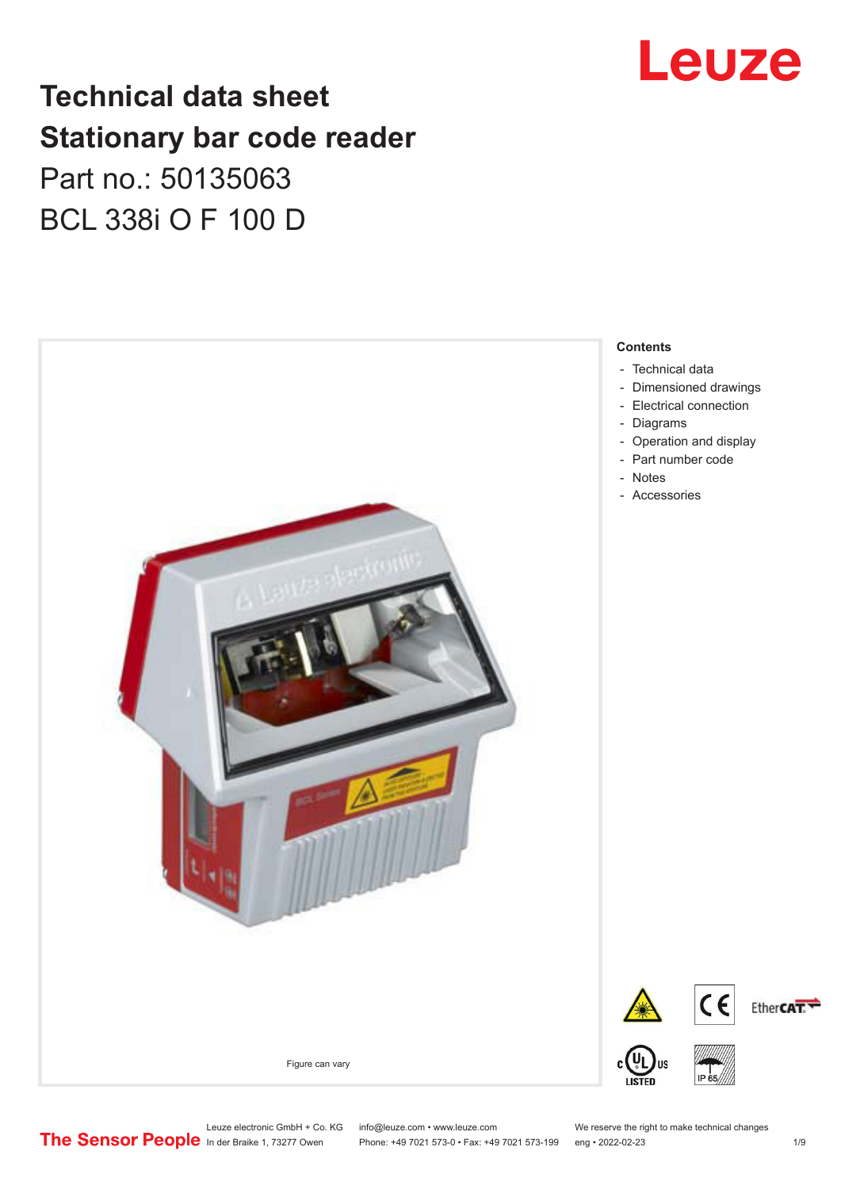# Leuze

## **Technical data sheet Stationary bar code reader** Part no.: 50135063 BCL 338i O F 100 D



Leuze electronic GmbH + Co. KG info@leuze.com • www.leuze.com We reserve the right to make technical changes<br>
The Sensor People in der Braike 1, 73277 Owen Phone: +49 7021 573-0 • Fax: +49 7021 573-199 eng • 2022-02-23

Phone: +49 7021 573-0 • Fax: +49 7021 573-199 eng • 2022-02-23 1 /9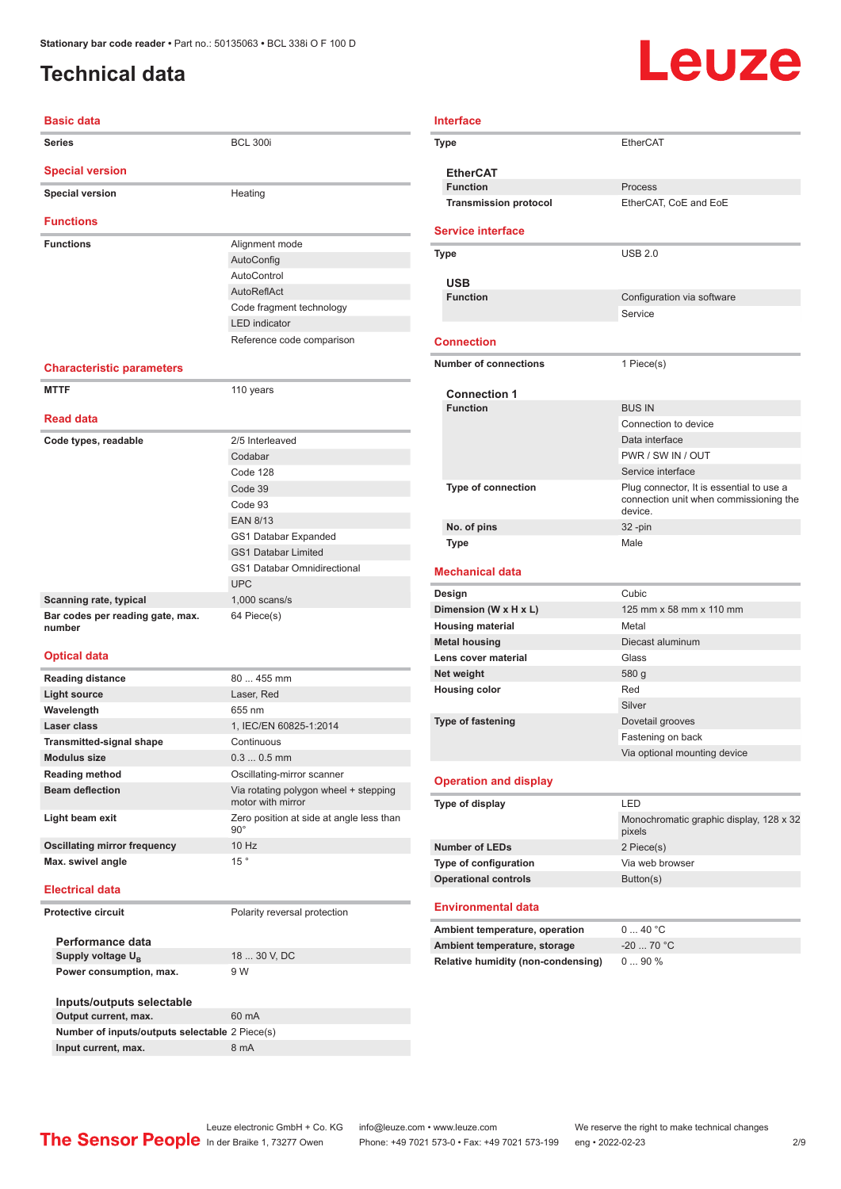### <span id="page-1-0"></span>**Technical data**

# Leuze

| <b>Basic data</b>                          |                                                            |
|--------------------------------------------|------------------------------------------------------------|
| <b>Series</b>                              | <b>BCL 300i</b>                                            |
| <b>Special version</b>                     |                                                            |
| <b>Special version</b>                     | Heating                                                    |
| <b>Functions</b>                           |                                                            |
| <b>Functions</b>                           | Alignment mode                                             |
|                                            | AutoConfig                                                 |
|                                            | AutoControl                                                |
|                                            | AutoReflAct                                                |
|                                            | Code fragment technology                                   |
|                                            | <b>LED</b> indicator                                       |
|                                            | Reference code comparison                                  |
| <b>Characteristic parameters</b>           |                                                            |
| <b>MTTF</b>                                | 110 years                                                  |
| <b>Read data</b>                           |                                                            |
| Code types, readable                       | 2/5 Interleaved                                            |
|                                            | Codabar                                                    |
|                                            | Code 128                                                   |
|                                            | Code 39                                                    |
|                                            | Code 93                                                    |
|                                            | <b>EAN 8/13</b>                                            |
|                                            |                                                            |
|                                            | GS1 Databar Expanded                                       |
|                                            | <b>GS1 Databar Limited</b>                                 |
|                                            | <b>GS1 Databar Omnidirectional</b>                         |
|                                            | <b>UPC</b>                                                 |
| Scanning rate, typical                     | $1,000$ scans/s                                            |
| Bar codes per reading gate, max.<br>number | 64 Piece(s)                                                |
| <b>Optical data</b>                        |                                                            |
| <b>Reading distance</b>                    | 80  455 mm                                                 |
| <b>Light source</b>                        | Laser, Red                                                 |
| Wavelength                                 | 655 nm                                                     |
| Laser class                                | 1, IEC/EN 60825-1:2014                                     |
| <b>Transmitted-signal shape</b>            | Continuous                                                 |
| <b>Modulus size</b>                        | $0.30.5$ mm                                                |
| <b>Reading method</b>                      | Oscillating-mirror scanner                                 |
| <b>Beam deflection</b>                     | Via rotating polygon wheel + stepping<br>motor with mirror |
| Light beam exit                            | Zero position at side at angle less than<br>$90^\circ$     |
| <b>Oscillating mirror frequency</b>        | 10 Hz                                                      |
| Max. swivel angle                          | 15°                                                        |
| <b>Electrical data</b>                     |                                                            |
| <b>Protective circuit</b>                  | Polarity reversal protection                               |
| Performance data                           |                                                            |
| Supply voltage U <sub>R</sub>              | 18  30 V, DC                                               |
| Power consumption, max.                    | 9 W                                                        |
| Inputs/outputs selectable                  |                                                            |
| Output current, max.                       | 60 mA                                                      |

| <b>Interface</b>                          |                                                                                               |
|-------------------------------------------|-----------------------------------------------------------------------------------------------|
| Type                                      | EtherCAT                                                                                      |
| <b>EtherCAT</b>                           |                                                                                               |
| <b>Function</b>                           | Process                                                                                       |
| <b>Transmission protocol</b>              | EtherCAT, CoE and EoE                                                                         |
| <b>Service interface</b>                  |                                                                                               |
| Type                                      | <b>USB 2.0</b>                                                                                |
| <b>USB</b>                                |                                                                                               |
| <b>Function</b>                           | Configuration via software                                                                    |
|                                           | Service                                                                                       |
| <b>Connection</b>                         |                                                                                               |
| <b>Number of connections</b>              | 1 Piece(s)                                                                                    |
| <b>Connection 1</b>                       |                                                                                               |
| <b>Function</b>                           | <b>BUS IN</b>                                                                                 |
|                                           | Connection to device                                                                          |
|                                           | Data interface                                                                                |
|                                           | PWR / SW IN / OUT                                                                             |
|                                           | Service interface                                                                             |
| <b>Type of connection</b>                 | Plug connector, It is essential to use a<br>connection unit when commissioning the<br>device. |
| No. of pins                               | 32 -pin                                                                                       |
| <b>Type</b>                               | Male                                                                                          |
| <b>Mechanical data</b>                    |                                                                                               |
| Design                                    | Cubic                                                                                         |
| Dimension (W x H x L)                     | 125 mm x 58 mm x 110 mm                                                                       |
| <b>Housing material</b>                   | Metal                                                                                         |
| <b>Metal housing</b>                      | Diecast aluminum                                                                              |
| Lens cover material                       | Glass                                                                                         |
| Net weight                                | 580 g                                                                                         |
| <b>Housing color</b>                      | Red                                                                                           |
|                                           | Silver                                                                                        |
| <b>Type of fastening</b>                  | Dovetail grooves                                                                              |
|                                           | Fastening on back                                                                             |
|                                           | Via optional mounting device                                                                  |
| <b>Operation and display</b>              |                                                                                               |
| <b>Type of display</b>                    | LED                                                                                           |
|                                           | Monochromatic graphic display, 128 x 32<br>pixels                                             |
| <b>Number of LEDs</b>                     | 2 Piece(s)                                                                                    |
| Type of configuration                     | Via web browser                                                                               |
| <b>Operational controls</b>               | Button(s)                                                                                     |
| Environmental data                        |                                                                                               |
| Ambient temperature, operation            | 040 °C                                                                                        |
| Ambient temperature, storage              | $-20$ 70 °C                                                                                   |
| <b>Relative humidity (non-condensing)</b> | 090%                                                                                          |
|                                           |                                                                                               |

**Number of inputs/outputs selectable** 2 Piece(s) **Input current, max.** 8 mA

Leuze electronic GmbH + Co. KG info@leuze.com • www.leuze.com We reserve the right to make technical changes<br>
The Sensor People in der Braike 1, 73277 Owen Phone: +49 7021 573-0 • Fax: +49 7021 573-199 eng • 2022-02-23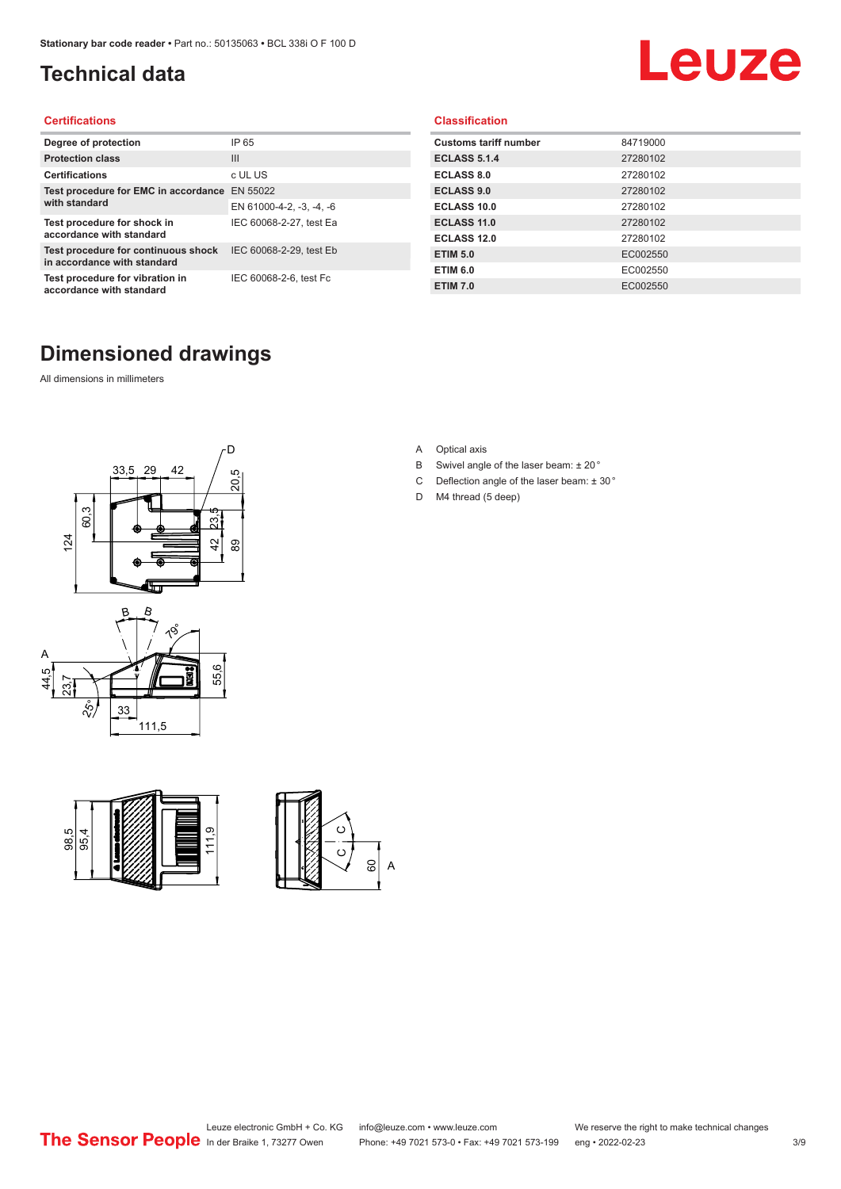### <span id="page-2-0"></span>**Technical data**

# Leuze

#### **Certifications**

| Degree of protection                                               | IP 65                    |
|--------------------------------------------------------------------|--------------------------|
| <b>Protection class</b>                                            | Ш                        |
| <b>Certifications</b>                                              | c UL US                  |
| Test procedure for EMC in accordance EN 55022                      |                          |
| with standard                                                      | EN 61000-4-2, -3, -4, -6 |
| Test procedure for shock in<br>accordance with standard            | IEC 60068-2-27, test Ea  |
| Test procedure for continuous shock<br>in accordance with standard | IEC 60068-2-29, test Eb  |
| Test procedure for vibration in<br>accordance with standard        | IEC 60068-2-6, test Fc   |

### **Dimensioned drawings**

All dimensions in millimeters







#### **Classification**

| <b>Customs tariff number</b> | 84719000 |
|------------------------------|----------|
| <b>ECLASS 5.1.4</b>          | 27280102 |
| <b>ECLASS 8.0</b>            | 27280102 |
| <b>ECLASS 9.0</b>            | 27280102 |
| ECLASS 10.0                  | 27280102 |
| <b>ECLASS 11.0</b>           | 27280102 |
| ECLASS 12.0                  | 27280102 |
| <b>ETIM 5.0</b>              | EC002550 |
| <b>ETIM 6.0</b>              | EC002550 |
| <b>ETIM 7.0</b>              | EC002550 |

A Optical axis

- B Swivel angle of the laser beam: ± 20 °
- C Deflection angle of the laser beam:  $\pm$  30 $^{\circ}$
- D M4 thread (5 deep)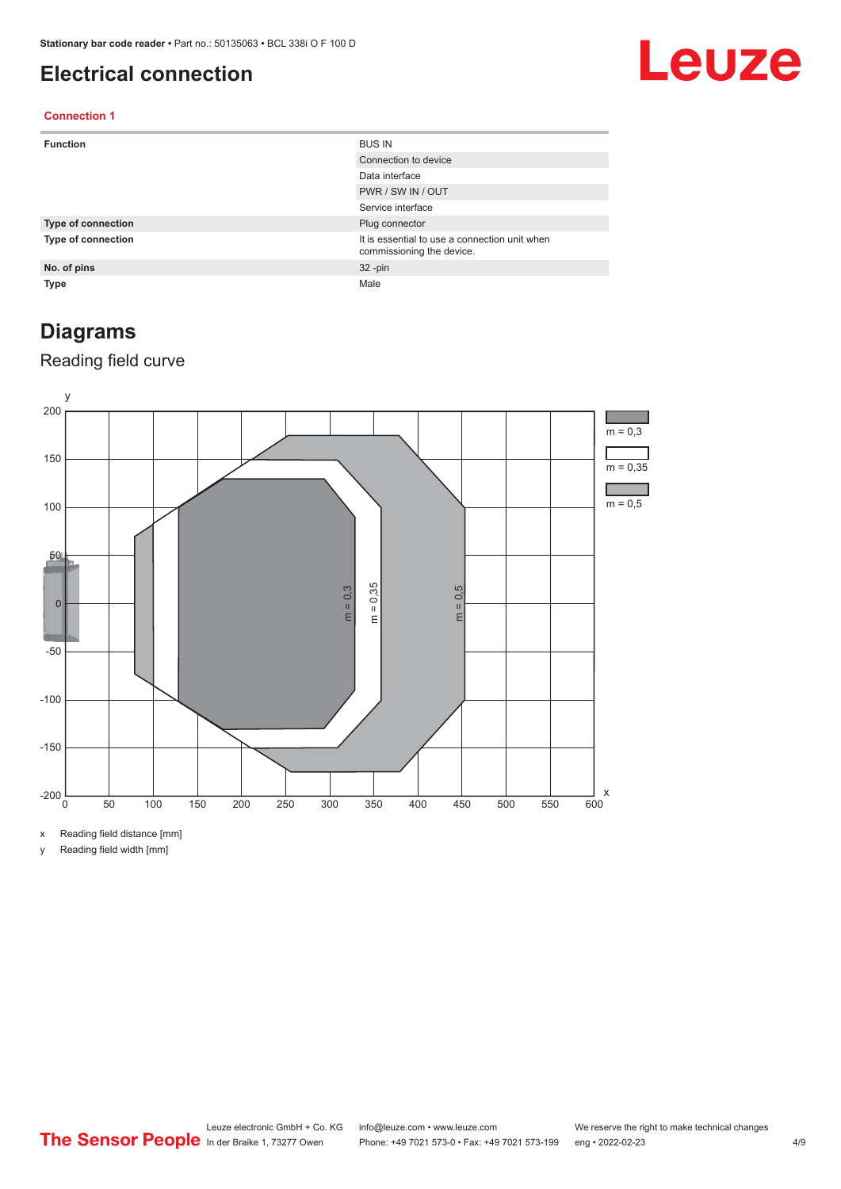#### <span id="page-3-0"></span>**Electrical connection**

# Leuze

#### **Connection 1**

| <b>Function</b>           | <b>BUS IN</b>                                                              |
|---------------------------|----------------------------------------------------------------------------|
|                           | Connection to device                                                       |
|                           | Data interface                                                             |
|                           | PWR / SW IN / OUT                                                          |
|                           | Service interface                                                          |
| Type of connection        | Plug connector                                                             |
| <b>Type of connection</b> | It is essential to use a connection unit when<br>commissioning the device. |
| No. of pins               | $32 - pin$                                                                 |
| <b>Type</b>               | Male                                                                       |

#### **Diagrams**

#### Reading field curve



x Reading field distance [mm]

y Reading field width [mm]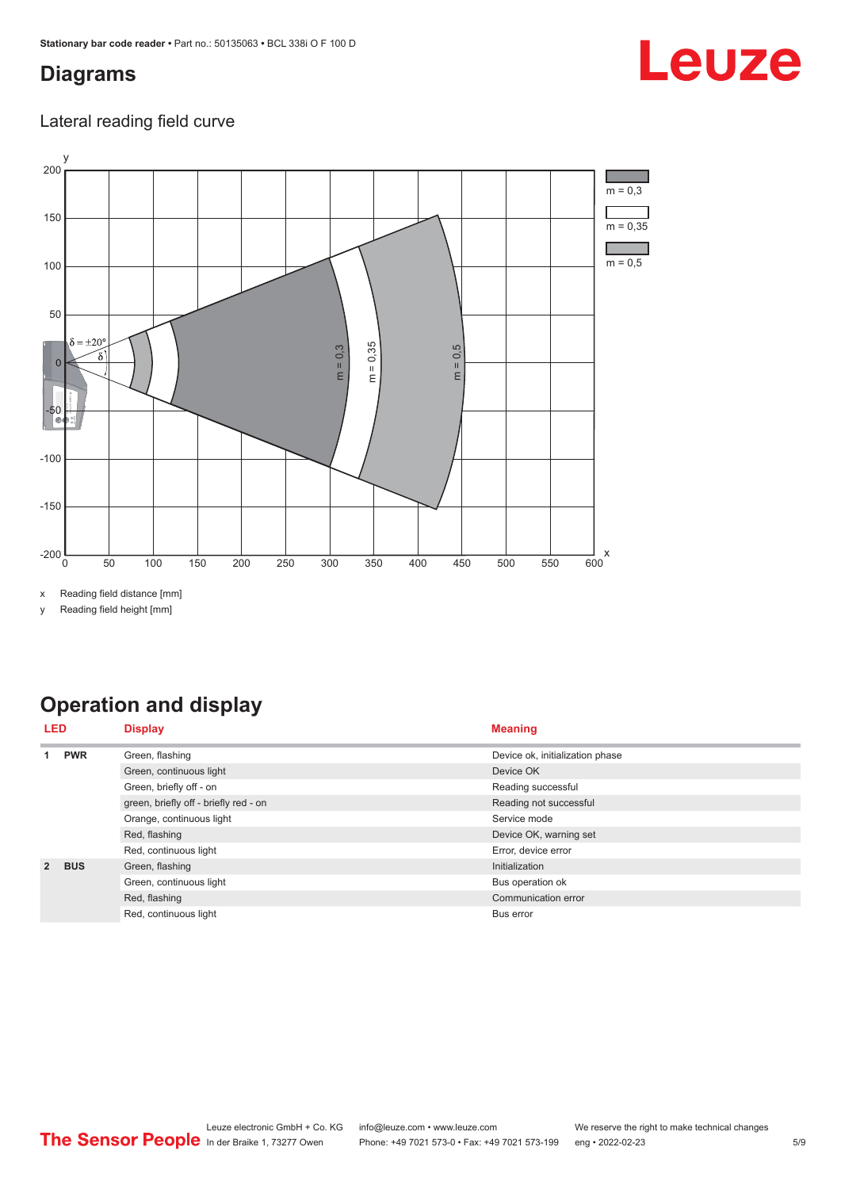#### <span id="page-4-0"></span>**Diagrams**

# Leuze

#### Lateral reading field curve



x Reading field distance [mm]

y Reading field height [mm]

### **Operation and display**

|                | <b>Display</b><br>LED |                                       | <b>Meaning</b>                  |  |  |
|----------------|-----------------------|---------------------------------------|---------------------------------|--|--|
|                | <b>PWR</b>            | Green, flashing                       | Device ok, initialization phase |  |  |
|                |                       | Green, continuous light               | Device OK                       |  |  |
|                |                       | Green, briefly off - on               | Reading successful              |  |  |
|                |                       | green, briefly off - briefly red - on | Reading not successful          |  |  |
|                |                       | Orange, continuous light              | Service mode                    |  |  |
|                |                       | Red, flashing                         | Device OK, warning set          |  |  |
|                |                       | Red, continuous light                 | Error, device error             |  |  |
| $\overline{2}$ | <b>BUS</b>            | Green, flashing                       | Initialization                  |  |  |
|                |                       | Green, continuous light               | Bus operation ok                |  |  |
|                |                       | Red, flashing                         | Communication error             |  |  |
|                | Red, continuous light | Bus error                             |                                 |  |  |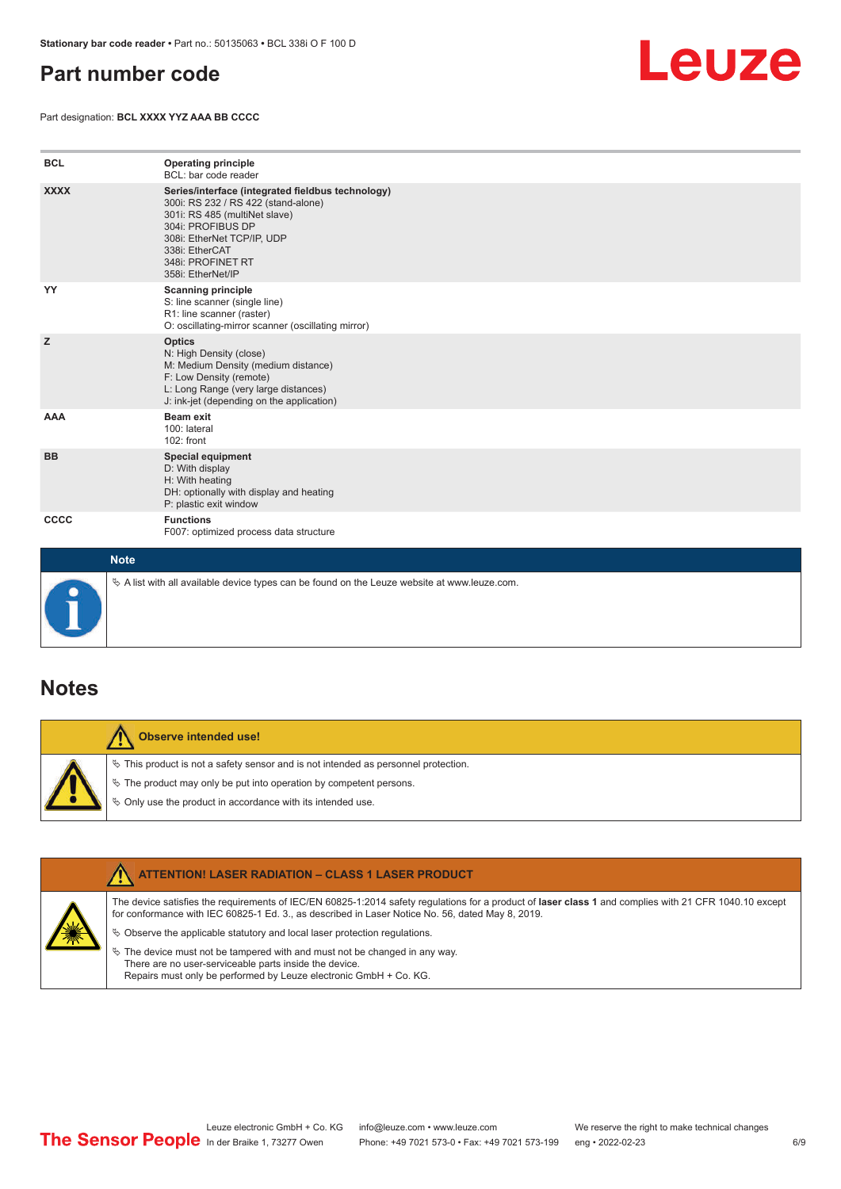#### <span id="page-5-0"></span>**Part number code**

Part designation: **BCL XXXX YYZ AAA BB CCCC**



| <b>BCL</b>  | <b>Operating principle</b><br>BCL: bar code reader                                                                                                                                                                                       |
|-------------|------------------------------------------------------------------------------------------------------------------------------------------------------------------------------------------------------------------------------------------|
| <b>XXXX</b> | Series/interface (integrated fieldbus technology)<br>300i: RS 232 / RS 422 (stand-alone)<br>301i: RS 485 (multiNet slave)<br>304i: PROFIBUS DP<br>308i: EtherNet TCP/IP, UDP<br>338i: EtherCAT<br>348i: PROFINET RT<br>358i: EtherNet/IP |
| YY          | <b>Scanning principle</b><br>S: line scanner (single line)<br>R1: line scanner (raster)<br>O: oscillating-mirror scanner (oscillating mirror)                                                                                            |
| z           | <b>Optics</b><br>N: High Density (close)<br>M: Medium Density (medium distance)<br>F: Low Density (remote)<br>L: Long Range (very large distances)<br>J: ink-jet (depending on the application)                                          |
| <b>AAA</b>  | <b>Beam exit</b><br>100: lateral<br>102: front                                                                                                                                                                                           |
| <b>BB</b>   | Special equipment<br>D: With display<br>H: With heating<br>DH: optionally with display and heating<br>P: plastic exit window                                                                                                             |
| CCCC        | <b>Functions</b><br>F007: optimized process data structure                                                                                                                                                                               |
| <b>Note</b> |                                                                                                                                                                                                                                          |



 $\%$  A list with all available device types can be found on the Leuze website at www.leuze.com.

#### **Notes**

**Observe intended use!** Λ  $\%$  This product is not a safety sensor and is not intended as personnel protection.  $\%$  The product may only be put into operation by competent persons.  $\%$  Only use the product in accordance with its intended use.

|  | <b>ATTENTION! LASER RADIATION - CLASS 1 LASER PRODUCT</b>                                                                                                                                                                                                  |
|--|------------------------------------------------------------------------------------------------------------------------------------------------------------------------------------------------------------------------------------------------------------|
|  | The device satisfies the requirements of IEC/EN 60825-1:2014 safety requlations for a product of laser class 1 and complies with 21 CFR 1040.10 except<br>for conformance with IEC 60825-1 Ed. 3., as described in Laser Notice No. 56, dated May 8, 2019. |
|  | $\&$ Observe the applicable statutory and local laser protection regulations.                                                                                                                                                                              |
|  | $\%$ The device must not be tampered with and must not be changed in any way.<br>There are no user-serviceable parts inside the device.<br>Repairs must only be performed by Leuze electronic GmbH + Co. KG.                                               |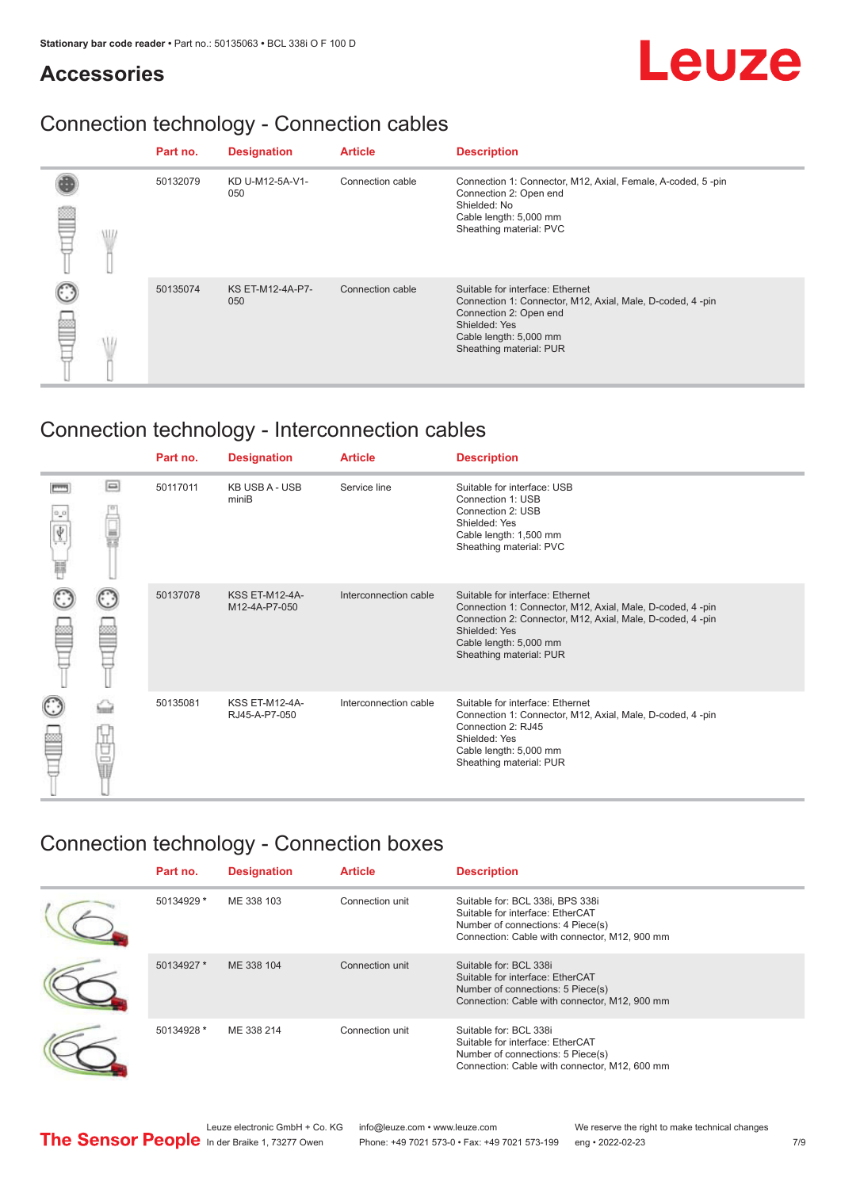#### **Accessories**

# Leuze

### Connection technology - Connection cables

|  | Part no. | <b>Designation</b>             | <b>Article</b>   | <b>Description</b>                                                                                                                                                                            |
|--|----------|--------------------------------|------------------|-----------------------------------------------------------------------------------------------------------------------------------------------------------------------------------------------|
|  | 50132079 | KD U-M12-5A-V1-<br>050         | Connection cable | Connection 1: Connector, M12, Axial, Female, A-coded, 5-pin<br>Connection 2: Open end<br>Shielded: No<br>Cable length: 5,000 mm<br>Sheathing material: PVC                                    |
|  | 50135074 | <b>KS ET-M12-4A-P7-</b><br>050 | Connection cable | Suitable for interface: Ethernet<br>Connection 1: Connector, M12, Axial, Male, D-coded, 4-pin<br>Connection 2: Open end<br>Shielded: Yes<br>Cable length: 5,000 mm<br>Sheathing material: PUR |

### Connection technology - Interconnection cables

|   |        | Part no. | <b>Designation</b>                     | <b>Article</b>        | <b>Description</b>                                                                                                                                                                                                               |
|---|--------|----------|----------------------------------------|-----------------------|----------------------------------------------------------------------------------------------------------------------------------------------------------------------------------------------------------------------------------|
| Ħ | $\Box$ | 50117011 | <b>KB USB A - USB</b><br>miniB         | Service line          | Suitable for interface: USB<br>Connection 1: USB<br>Connection 2: USB<br>Shielded: Yes<br>Cable length: 1,500 mm<br>Sheathing material: PVC                                                                                      |
|   |        | 50137078 | <b>KSS ET-M12-4A-</b><br>M12-4A-P7-050 | Interconnection cable | Suitable for interface: Ethernet<br>Connection 1: Connector, M12, Axial, Male, D-coded, 4-pin<br>Connection 2: Connector, M12, Axial, Male, D-coded, 4-pin<br>Shielded: Yes<br>Cable length: 5,000 mm<br>Sheathing material: PUR |
|   | the    | 50135081 | <b>KSS ET-M12-4A-</b><br>RJ45-A-P7-050 | Interconnection cable | Suitable for interface: Ethernet<br>Connection 1: Connector, M12, Axial, Male, D-coded, 4-pin<br>Connection 2: RJ45<br>Shielded: Yes<br>Cable length: 5,000 mm<br>Sheathing material: PUR                                        |

#### Connection technology - Connection boxes

| Part no.   | <b>Designation</b> | <b>Article</b>  | <b>Description</b>                                                                                                                                         |
|------------|--------------------|-----------------|------------------------------------------------------------------------------------------------------------------------------------------------------------|
| 50134929 * | ME 338 103         | Connection unit | Suitable for: BCL 338i, BPS 338i<br>Suitable for interface: EtherCAT<br>Number of connections: 4 Piece(s)<br>Connection: Cable with connector, M12, 900 mm |
| 50134927 * | ME 338 104         | Connection unit | Suitable for: BCL 338i<br>Suitable for interface: EtherCAT<br>Number of connections: 5 Piece(s)<br>Connection: Cable with connector, M12, 900 mm           |
| 50134928 * | ME 338 214         | Connection unit | Suitable for: BCL 338i<br>Suitable for interface: EtherCAT<br>Number of connections: 5 Piece(s)<br>Connection: Cable with connector, M12, 600 mm           |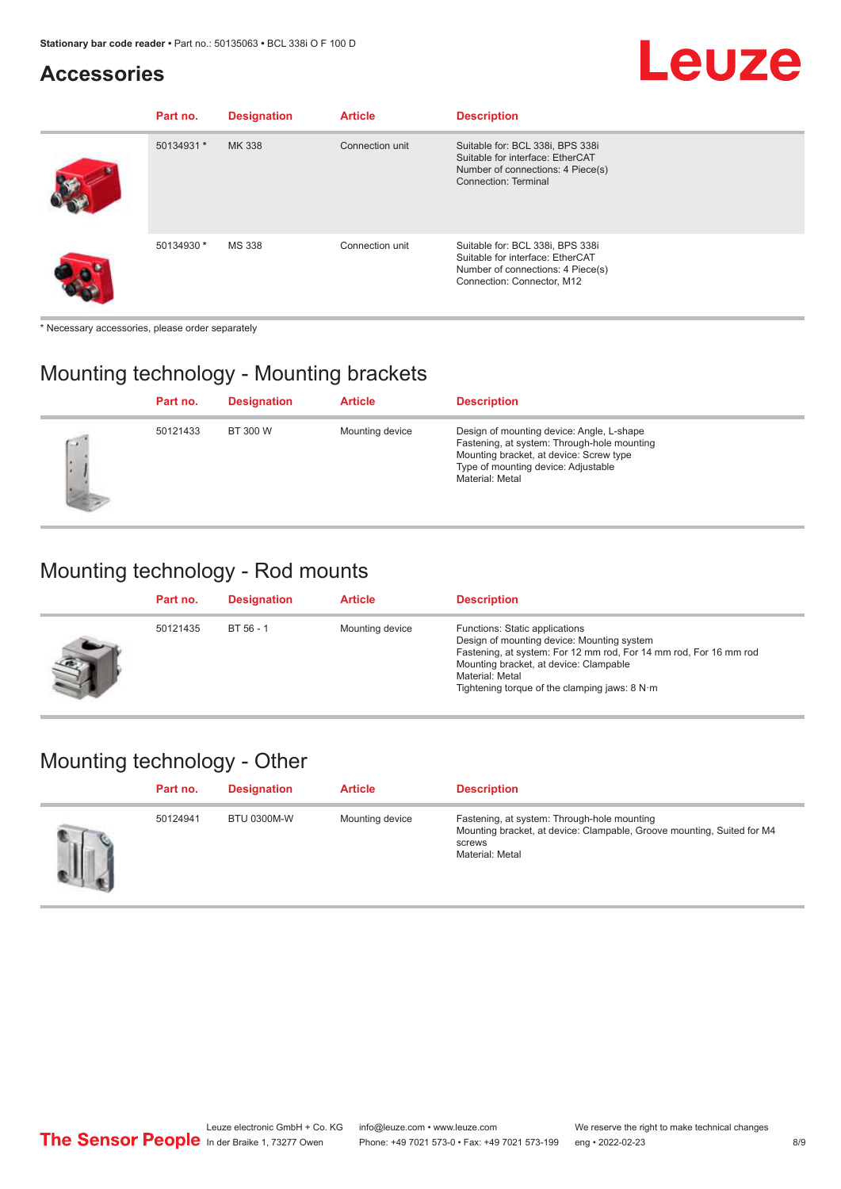### **Accessories**

#### **Part no.** Designation **Article Description** 50134931 **\*** MK 338 Connection unit Suitable for: BCL 338i, BPS 338i Suitable for interface: EtherCAT Number of connections: 4 Piece(s) Connection: Terminal 50134930 **\*** MS 338 Connection unit Suitable for: BCL 338i, BPS 338i Suitable for interface: EtherCAT Number of connections: 4 Piece(s) Connection: Connector, M12

\* Necessary accessories, please order separately

#### Mounting technology - Mounting brackets

|     | Part no. | <b>Designation</b> | <b>Article</b>  | <b>Description</b>                                                                                                                                                                            |
|-----|----------|--------------------|-----------------|-----------------------------------------------------------------------------------------------------------------------------------------------------------------------------------------------|
| C.X | 50121433 | BT 300 W           | Mounting device | Design of mounting device: Angle, L-shape<br>Fastening, at system: Through-hole mounting<br>Mounting bracket, at device: Screw type<br>Type of mounting device: Adjustable<br>Material: Metal |

#### Mounting technology - Rod mounts

| Part no. | <b>Designation</b> | <b>Article</b>  | <b>Description</b>                                                                                                                                                                                                                                                |
|----------|--------------------|-----------------|-------------------------------------------------------------------------------------------------------------------------------------------------------------------------------------------------------------------------------------------------------------------|
| 50121435 | BT 56 - 1          | Mounting device | Functions: Static applications<br>Design of mounting device: Mounting system<br>Fastening, at system: For 12 mm rod, For 14 mm rod, For 16 mm rod<br>Mounting bracket, at device: Clampable<br>Material: Metal<br>Tightening torque of the clamping jaws: $8 N·m$ |

#### Mounting technology - Other

| Part no. | <b>Designation</b> | <b>Article</b>  | <b>Description</b>                                                                                                                                 |
|----------|--------------------|-----------------|----------------------------------------------------------------------------------------------------------------------------------------------------|
| 50124941 | <b>BTU 0300M-W</b> | Mounting device | Fastening, at system: Through-hole mounting<br>Mounting bracket, at device: Clampable, Groove mounting, Suited for M4<br>screws<br>Material: Metal |

Leuze